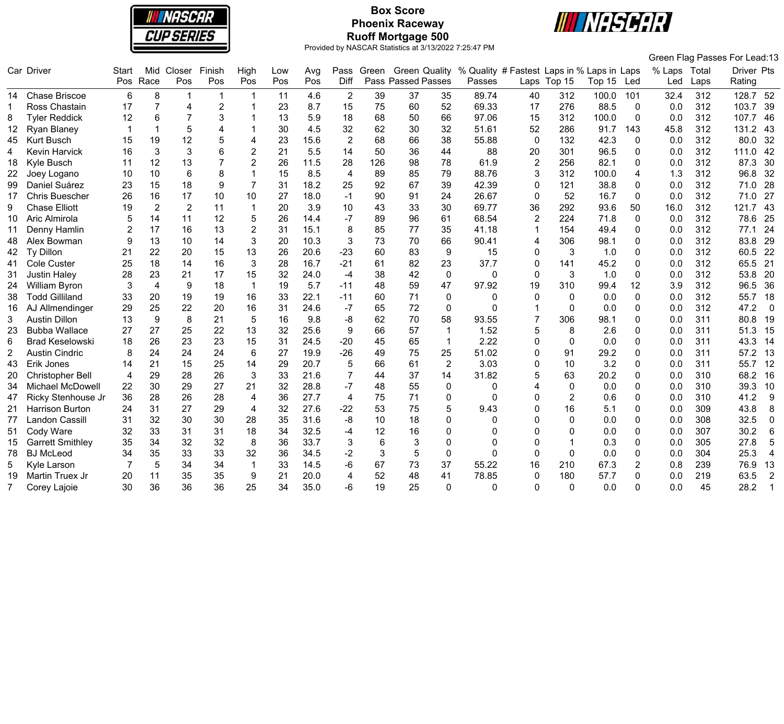

# **Box Score Phoenix Raceway Ruoff Mortgage 500**



|                 |                         |                |                |                |        |                |     |      |                |       |                           |                         |                                            |                         |                |        |                |              |      | Green Flag Passes For Lead:13 |
|-----------------|-------------------------|----------------|----------------|----------------|--------|----------------|-----|------|----------------|-------|---------------------------|-------------------------|--------------------------------------------|-------------------------|----------------|--------|----------------|--------------|------|-------------------------------|
|                 | Car Driver              | <b>Start</b>   | Mid            | Closer         | Finish | High           | Low | Avg  | Pass           | Green | <b>Green Quality</b>      |                         | % Quality # Fastest Laps in % Laps in Laps |                         |                |        |                | % Laps Total |      | Driver Pts                    |
|                 |                         | Pos            | Race           | Pos            | Pos    | Pos            | Pos | Pos  | <b>Diff</b>    |       | <b>Pass Passed Passes</b> |                         | Passes                                     |                         | Laps Top 15    | Top 15 | Led            | Led          | Laps | Rating                        |
|                 | 14 Chase Briscoe        | 6              | 8              | 1              |        |                | 11  | 4.6  | 2              | 39    | 37                        | 35                      | 89.74                                      | 40                      | 312            | 100.0  | 101            | 32.4         | 312  | 128.7 52                      |
| 1               | Ross Chastain           | 17             | 7              | 4              | 2      |                | 23  | 8.7  | 15             | 75    | 60                        | 52                      | 69.33                                      | 17                      | 276            | 88.5   | $\mathbf{0}$   | 0.0          | 312  | 103.7<br>-39                  |
| 8               | <b>Tyler Reddick</b>    | 12             | 6              |                |        |                | 13  | 5.9  | 18             | 68    | 50                        | 66                      | 97.06                                      | 15                      | 312            | 100.0  | 0              | 0.0          | 312  | 107.7<br>46                   |
| 12              | Ryan Blaney             | -1             | $\mathbf{1}$   | 5              | 4      |                | 30  | 4.5  | 32             | 62    | 30                        | 32                      | 51.61                                      | 52                      | 286            | 91.7   | 143            | 45.8         | 312  | 131.2<br>43                   |
| 45              | <b>Kurt Busch</b>       | 15             | 19             | 12             | 5      | 4              | 23  | 15.6 | 2              | 68    | 66                        | 38                      | 55.88                                      | $\mathbf{0}$            | 132            | 42.3   | 0              | 0.0          | 312  | 80.0<br>32                    |
| 4               | <b>Kevin Harvick</b>    | 16             | 3              | 3              | 6      | $\overline{2}$ | 21  | 5.5  | 14             | 50    | 36                        | 44                      | 88                                         | 20                      | 301            | 96.5   | 0              | 0.0          | 312  | 42<br>111.0                   |
| 18              | Kyle Busch              | 11             | 12             | 13             |        | 2              | 26  | 11.5 | 28             | 126   | 98                        | 78                      | 61.9                                       | $\overline{2}$          | 256            | 82.1   | 0              | 0.0          | 312  | 30<br>87.3                    |
| 22              | Joey Logano             | 10             | 10             | $6\phantom{1}$ | 8      |                | 15  | 8.5  | $\overline{4}$ | 89    | 85                        | 79                      | 88.76                                      | 3                       | 312            | 100.0  | 4              | 1.3          | 312  | 96.8<br>32                    |
| 99              | Daniel Suárez           | 23             | 15             | 18             | 9      | $\overline{7}$ | 31  | 18.2 | 25             | 92    | 67                        | 39                      | 42.39                                      | $\Omega$                | 121            | 38.8   | $\mathbf{0}$   | 0.0          | 312  | 28<br>71.0                    |
| 17              | <b>Chris Buescher</b>   | 26             | 16             | 17             | 10     | 10             | 27  | 18.0 | $-1$           | 90    | 91                        | 24                      | 26.67                                      | $\Omega$                | 52             | 16.7   | 0              | 0.0          | 312  | 27<br>71.0                    |
| 9               | <b>Chase Elliott</b>    | 19             | $\overline{2}$ | $\overline{2}$ | 11     |                | 20  | 3.9  | 10             | 43    | 33                        | 30                      | 69.77                                      | 36                      | 292            | 93.6   | 50             | 16.0         | 312  | 43<br>121.7                   |
| 10 <sup>1</sup> | Aric Almirola           | 5              | 14             | 11             | 12     | 5              | 26  | 14.4 | $-7$           | 89    | 96                        | 61                      | 68.54                                      | $\overline{2}$          | 224            | 71.8   | 0              | 0.0          | 312  | 25<br>78.6                    |
| 11              | Denny Hamlin            | $\overline{2}$ | 17             | 16             | 13     | $\overline{2}$ | 31  | 15.1 | 8              | 85    | 77                        | 35                      | 41.18                                      | $\mathbf 1$             | 154            | 49.4   | 0              | 0.0          | 312  | 77.1<br>24                    |
| 48              | Alex Bowman             | 9              | 13             | 10             | 14     | 3              | 20  | 10.3 | 3              | 73    | 70                        | 66                      | 90.41                                      | 4                       | 306            | 98.1   | 0              | 0.0          | 312  | 83.8<br>29                    |
| 42              | <b>Ty Dillon</b>        | 21             | 22             | 20             | 15     | 13             | 26  | 20.6 | $-23$          | 60    | 83                        | 9                       | 15                                         | $\mathbf{0}$            | 3              | 1.0    | 0              | 0.0          | 312  | 22<br>60.5                    |
| 41              | Cole Custer             | 25             | 18             | 14             | 16     | 3              | 28  | 16.7 | $-21$          | 61    | 82                        | 23                      | 37.7                                       | 0                       | 141            | 45.2   | 0              | 0.0          | 312  | 65.5<br>21                    |
| 31              | <b>Justin Haley</b>     | 28             | 23             | 21             | 17     | 15             | 32  | 24.0 | $-4$           | 38    | 42                        | $\pmb{0}$               | $\mathbf 0$                                | $\mathbf 0$             | 3              | 1.0    | 0              | 0.0          | 312  | 53.8<br>20                    |
| 24              | <b>William Byron</b>    | 3              | $\overline{4}$ | 9              | 18     | $\mathbf{1}$   | 19  | 5.7  | $-11$          | 48    | 59                        | 47                      | 97.92                                      | 19                      | 310            | 99.4   | 12             | 3.9          | 312  | 96.5<br>36                    |
| 38              | <b>Todd Gilliland</b>   | 33             | 20             | 19             | 19     | 16             | 33  | 22.1 | $-11$          | 60    | 71                        | 0                       | $\Omega$                                   | $\Omega$                | 0              | 0.0    | $\Omega$       | 0.0          | 312  | 55.7<br>18                    |
| 16              | AJ Allmendinger         | 29             | 25             | 22             | 20     | 16             | 31  | 24.6 | $-7$           | 65    | 72                        | $\mathbf 0$             | $\Omega$                                   | $\overline{\mathbf{1}}$ | 0              | 0.0    | 0              | 0.0          | 312  | 47.2<br>$\overline{0}$        |
| 3               | <b>Austin Dillon</b>    | 13             | 9              | 8              | 21     | 5              | 16  | 9.8  | -8             | 62    | 70                        | 58                      | 93.55                                      | $\overline{7}$          | 306            | 98.1   | 0              | 0.0          | 311  | 80.8<br>19                    |
| 23              | <b>Bubba Wallace</b>    | 27             | 27             | 25             | 22     | 13             | 32  | 25.6 | 9              | 66    | 57                        | $\mathbf{1}$            | 1.52                                       | 5                       | 8              | 2.6    | 0              | 0.0          | 311  | 51.3<br>15                    |
| 6               | <b>Brad Keselowski</b>  | 18             | 26             | 23             | 23     | 15             | 31  | 24.5 | $-20$          | 45    | 65                        | $\overline{\mathbf{1}}$ | 2.22                                       | $\Omega$                | $\mathbf{0}$   | 0.0    | 0              | 0.0          | 311  | 43.3<br>-14                   |
| $\overline{2}$  | <b>Austin Cindric</b>   | 8              | 24             | 24             | 24     | 6              | 27  | 19.9 | $-26$          | 49    | 75                        | 25                      | 51.02                                      | $\Omega$                | 91             | 29.2   | $\Omega$       | 0.0          | 311  | 57.2<br>13                    |
| 43              | Erik Jones              | 14             | 21             | 15             | 25     | 14             | 29  | 20.7 | 5              | 66    | 61                        | $\overline{2}$          | 3.03                                       | 0                       | 10             | 3.2    | 0              | 0.0          | 311  | 55.7<br>12                    |
| 20              | <b>Christopher Bell</b> | 4              | 29             | 28             | 26     | 3              | 33  | 21.6 | 7              | 44    | 37                        | 14                      | 31.82                                      | 5                       | 63             | 20.2   | 0              | 0.0          | 310  | 68.2<br>16                    |
| 34              | Michael McDowell        | 22             | 30             | 29             | 27     | 21             | 32  | 28.8 | $-7$           | 48    | 55                        | $\pmb{0}$               | $\mathbf{0}$                               |                         | 0              | 0.0    | 0              | 0.0          | 310  | 39.3<br>10                    |
| 47              | Ricky Stenhouse Jr      | 36             | 28             | 26             | 28     | $\overline{4}$ | 36  | 27.7 | $\overline{4}$ | 75    | 71                        | $\pmb{0}$               | $\Omega$                                   | $\Omega$                | $\overline{2}$ | 0.6    | 0              | 0.0          | 310  | 41.2<br>-9                    |
| 21              | Harrison Burton         | 24             | 31             | 27             | 29     | $\overline{4}$ | 32  | 27.6 | $-22$          | 53    | 75                        | 5                       | 9.43                                       | $\Omega$                | 16             | 5.1    | $\Omega$       | 0.0          | 309  | 43.8<br>8                     |
| 77              | <b>Landon Cassill</b>   | 31             | 32             | 30             | 30     | 28             | 35  | 31.6 | $-8$           | 10    | 18                        | $\mathbf 0$             | 0                                          | n                       | 0              | 0.0    | 0              | 0.0          | 308  | 32.5<br>$\mathbf 0$           |
| 51              | Cody Ware               | 32             | 33             | 31             | 31     | 18             | 34  | 32.5 | -4             | 12    | 16                        | $\mathbf 0$             | 0                                          |                         | 0              | 0.0    | 0              | 0.0          | 307  | 30.2<br>6                     |
| 15              | <b>Garrett Smithley</b> | 35             | 34             | 32             | 32     | 8              | 36  | 33.7 | 3              | 6     | 3                         | $\mathbf 0$             | O                                          | $\Omega$                |                | 0.3    | 0              | 0.0          | 305  | 27.8<br>5                     |
| 78              | <b>BJ McLeod</b>        | 34             | 35             | 33             | 33     | 32             | 36  | 34.5 | $-2$           | 3     | 5                         | $\pmb{0}$               | $\Omega$                                   | $\Omega$                | 0              | 0.0    | 0              | 0.0          | 304  | 25.3<br>$\overline{4}$        |
| 5               | Kyle Larson             |                | 5              | 34             | 34     |                | 33  | 14.5 | -6             | 67    | 73                        | 37                      | 55.22                                      | 16                      | 210            | 67.3   | $\overline{2}$ | 0.8          | 239  | 76.9<br>13                    |
| 19              | Martin Truex Jr         | 20             | 11             | 35             | 35     | 9              | 21  | 20.0 | $\overline{4}$ | 52    | 48                        | 41                      | 78.85                                      | 0                       | 180            | 57.7   | 0              | 0.0          | 219  | 63.5<br>$\overline{2}$        |
|                 | Corey Lajoie            | 30             | 36             | 36             | 36     | 25             | 34  | 35.0 | -6             | 19    | 25                        | $\Omega$                | O                                          | $\Omega$                | $\Omega$       | 0.0    | U              | 0.0          | 45   | 28.2<br>-1                    |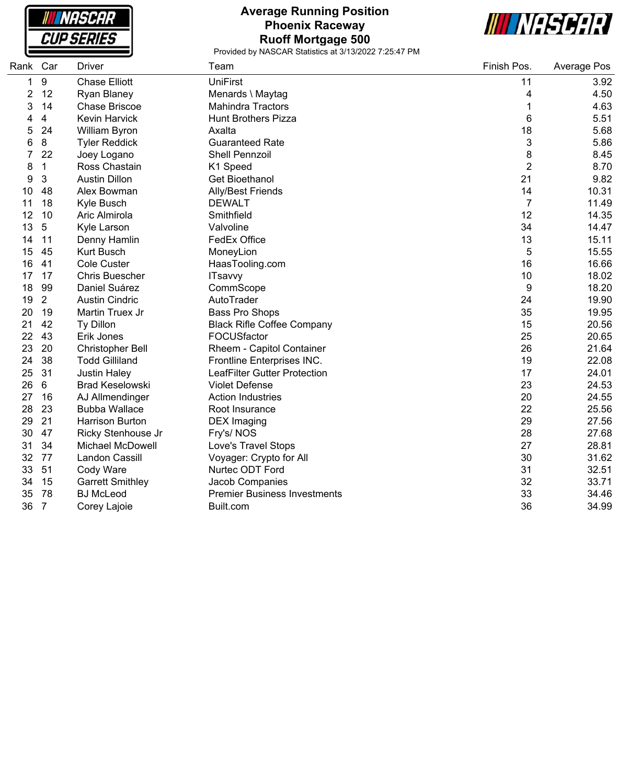| <b>NASCAR</b>     |
|-------------------|
| <i>CUP SERIES</i> |

ſ

# **Average Running Position Phoenix Raceway Ruoff Mortgage 500**



| Rank           | Car            | <b>Driver</b>           | Team                                | Finish Pos. | Average Pos |
|----------------|----------------|-------------------------|-------------------------------------|-------------|-------------|
| 1              | 9              | <b>Chase Elliott</b>    | UniFirst                            | 11          | 3.92        |
| $\overline{c}$ | 12             | Ryan Blaney             | Menards \ Maytag                    | 4           | 4.50        |
| 3              | 14             | <b>Chase Briscoe</b>    | <b>Mahindra Tractors</b>            | 1           | 4.63        |
| 4              | 4              | Kevin Harvick           | <b>Hunt Brothers Pizza</b>          | 6           | 5.51        |
| 5              | 24             | William Byron           | Axalta                              | 18          | 5.68        |
| 6              | 8              | <b>Tyler Reddick</b>    | <b>Guaranteed Rate</b>              | 3           | 5.86        |
| 7              | 22             | Joey Logano             | Shell Pennzoil                      | 8           | 8.45        |
| 8              | 1              | Ross Chastain           | K1 Speed                            | 2           | 8.70        |
| 9              | 3              | <b>Austin Dillon</b>    | <b>Get Bioethanol</b>               | 21          | 9.82        |
| 10             | 48             | Alex Bowman             | Ally/Best Friends                   | 14          | 10.31       |
| 11             | 18             | Kyle Busch              | <b>DEWALT</b>                       | 7           | 11.49       |
| 12             | 10             | Aric Almirola           | Smithfield                          | 12          | 14.35       |
| 13             | 5              | Kyle Larson             | Valvoline                           | 34          | 14.47       |
| 14             | 11             | Denny Hamlin            | FedEx Office                        | 13          | 15.11       |
| 15             | 45             | <b>Kurt Busch</b>       | MoneyLion                           | 5           | 15.55       |
| 16             | 41             | Cole Custer             | HaasTooling.com                     | 16          | 16.66       |
| 17             | 17             | <b>Chris Buescher</b>   | <b>ITsavvy</b>                      | 10          | 18.02       |
| 18             | 99             | Daniel Suárez           | CommScope                           | 9           | 18.20       |
| 19             | $\overline{2}$ | <b>Austin Cindric</b>   | AutoTrader                          | 24          | 19.90       |
| 20             | 19             | Martin Truex Jr         | Bass Pro Shops                      | 35          | 19.95       |
| 21             | 42             | Ty Dillon               | <b>Black Rifle Coffee Company</b>   | 15          | 20.56       |
| 22             | 43             | Erik Jones              | FOCUSfactor                         | 25          | 20.65       |
| 23             | 20             | <b>Christopher Bell</b> | Rheem - Capitol Container           | 26          | 21.64       |
| 24             | 38             | <b>Todd Gilliland</b>   | Frontline Enterprises INC.          | 19          | 22.08       |
| 25             | 31             | <b>Justin Haley</b>     | LeafFilter Gutter Protection        | 17          | 24.01       |
| 26             | 6              | <b>Brad Keselowski</b>  | <b>Violet Defense</b>               | 23          | 24.53       |
| 27             | 16             | AJ Allmendinger         | <b>Action Industries</b>            | 20          | 24.55       |
| 28             | 23             | <b>Bubba Wallace</b>    | Root Insurance                      | 22          | 25.56       |
| 29             | 21             | Harrison Burton         | <b>DEX Imaging</b>                  | 29          | 27.56       |
| 30             | 47             | Ricky Stenhouse Jr      | Fry's/NOS                           | 28          | 27.68       |
| 31             | 34             | <b>Michael McDowell</b> | Love's Travel Stops                 | 27          | 28.81       |
| 32             | 77             | Landon Cassill          | Voyager: Crypto for All             | 30          | 31.62       |
| 33             | 51             | Cody Ware               | Nurtec ODT Ford                     | 31          | 32.51       |
| 34             | 15             | <b>Garrett Smithley</b> | Jacob Companies                     | 32          | 33.71       |
| 35             | 78             | <b>BJ McLeod</b>        | <b>Premier Business Investments</b> | 33          | 34.46       |
| 36             | $\overline{7}$ | Corey Lajoie            | Built.com                           | 36          | 34.99       |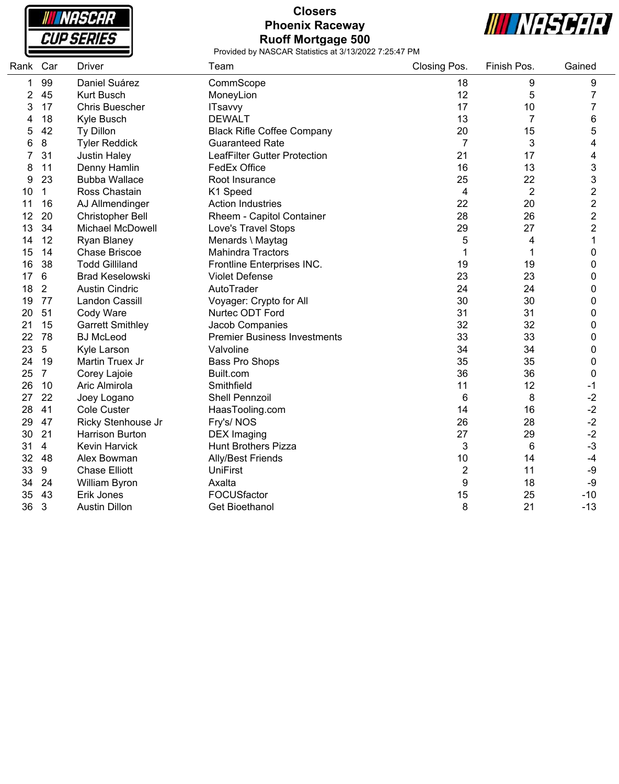

# **Closers Phoenix Raceway Ruoff Mortgage 500**



| Rank Car       |                | <b>Driver</b>           | Team                                | Closing Pos.   | Finish Pos.    | Gained         |
|----------------|----------------|-------------------------|-------------------------------------|----------------|----------------|----------------|
| 1              | 99             | Daniel Suárez           | CommScope                           | 18             | 9              | 9              |
| $\overline{c}$ | 45             | <b>Kurt Busch</b>       | MoneyLion                           | 12             | 5              | 7              |
| 3              | 17             | <b>Chris Buescher</b>   | <b>ITsavvy</b>                      | 17             | 10             | 7              |
| 4              | 18             | Kyle Busch              | <b>DEWALT</b>                       | 13             | $\overline{7}$ | 6              |
| 5              | 42             | Ty Dillon               | <b>Black Rifle Coffee Company</b>   | 20             | 15             | 5              |
| 6              | 8              | <b>Tyler Reddick</b>    | <b>Guaranteed Rate</b>              | $\overline{7}$ | 3              | 4              |
| 7              | 31             | <b>Justin Haley</b>     | <b>LeafFilter Gutter Protection</b> | 21             | 17             | 4              |
| 8              | 11             | Denny Hamlin            | FedEx Office                        | 16             | 13             | 3              |
| 9              | 23             | <b>Bubba Wallace</b>    | Root Insurance                      | 25             | 22             | 3              |
| 10             | $\mathbf{1}$   | Ross Chastain           | K1 Speed                            | 4              | $\overline{2}$ | $\overline{2}$ |
| 11             | 16             | AJ Allmendinger         | <b>Action Industries</b>            | 22             | 20             | $\overline{2}$ |
| 12             | 20             | <b>Christopher Bell</b> | Rheem - Capitol Container           | 28             | 26             | $\overline{c}$ |
| 13             | 34             | Michael McDowell        | Love's Travel Stops                 | 29             | 27             | $\overline{2}$ |
| 14             | 12             | Ryan Blaney             | Menards \ Maytag                    | 5              | 4              | $\mathbf{1}$   |
| 15             | 14             | <b>Chase Briscoe</b>    | <b>Mahindra Tractors</b>            | 1              | 1              | 0              |
| 16             | 38             | <b>Todd Gilliland</b>   | Frontline Enterprises INC.          | 19             | 19             | 0              |
| 17             | $\,6$          | <b>Brad Keselowski</b>  | <b>Violet Defense</b>               | 23             | 23             | 0              |
| 18             | $\overline{2}$ | <b>Austin Cindric</b>   | AutoTrader                          | 24             | 24             | 0              |
| 19             | 77             | Landon Cassill          | Voyager: Crypto for All             | 30             | 30             | 0              |
| 20             | 51             | Cody Ware               | Nurtec ODT Ford                     | 31             | 31             | $\mathbf 0$    |
| 21             | 15             | <b>Garrett Smithley</b> | Jacob Companies                     | 32             | 32             | 0              |
| 22             | 78             | <b>BJ</b> McLeod        | <b>Premier Business Investments</b> | 33             | 33             | 0              |
| 23             | 5              | Kyle Larson             | Valvoline                           | 34             | 34             | 0              |
| 24             | 19             | Martin Truex Jr         | Bass Pro Shops                      | 35             | 35             | $\mathbf 0$    |
| 25             | $\overline{7}$ | Corey Lajoie            | Built.com                           | 36             | 36             | 0              |
| 26             | 10             | Aric Almirola           | Smithfield                          | 11             | 12             | $-1$           |
| 27             | 22             | Joey Logano             | Shell Pennzoil                      | 6              | 8              | $-2$           |
| 28             | 41             | Cole Custer             | HaasTooling.com                     | 14             | 16             | $-2$           |
| 29             | 47             | Ricky Stenhouse Jr      | Fry's/NOS                           | 26             | 28             | $-2$           |
| 30             | 21             | <b>Harrison Burton</b>  | <b>DEX</b> Imaging                  | 27             | 29             | $-2$           |
| 31             | $\overline{4}$ | Kevin Harvick           | <b>Hunt Brothers Pizza</b>          | 3              | $\,6$          | $-3$           |
| 32             | 48             | Alex Bowman             | <b>Ally/Best Friends</b>            | 10             | 14             | $-4$           |
| 33             | 9              | <b>Chase Elliott</b>    | <b>UniFirst</b>                     | $\overline{2}$ | 11             | $-9$           |
| 34             | 24             | William Byron           | Axalta                              | 9              | 18             | $-9$           |
| 35             | 43             | Erik Jones              | FOCUSfactor                         | 15             | 25             | $-10$          |
| 36             | 3              | <b>Austin Dillon</b>    | <b>Get Bioethanol</b>               | 8              | 21             | $-13$          |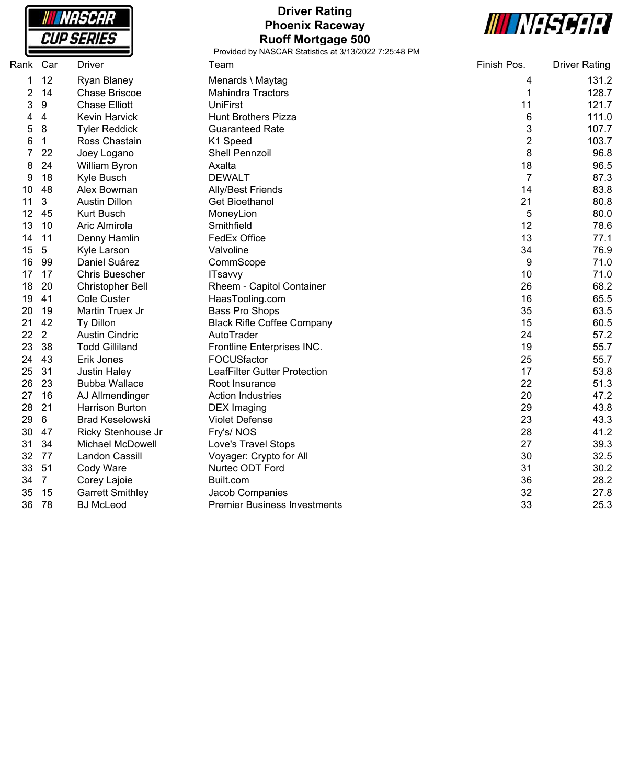|  |  | <b>NASCAR</b><br>CUP SERIES |
|--|--|-----------------------------|

ſ

ŀē

# **Driver Rating Phoenix Raceway Ruoff Mortgage 500**



| Rank | Car            | <b>Driver</b>           | Team                                | Finish Pos.    | <b>Driver Rating</b> |
|------|----------------|-------------------------|-------------------------------------|----------------|----------------------|
| 1    | 12             | Ryan Blaney             | Menards \ Maytag                    | 4              | 131.2                |
| 2    | 14             | <b>Chase Briscoe</b>    | <b>Mahindra Tractors</b>            | 1              | 128.7                |
| 3    | 9              | <b>Chase Elliott</b>    | <b>UniFirst</b>                     | 11             | 121.7                |
| 4    | 4              | <b>Kevin Harvick</b>    | <b>Hunt Brothers Pizza</b>          | 6              | 111.0                |
| 5    | 8              | <b>Tyler Reddick</b>    | <b>Guaranteed Rate</b>              | 3              | 107.7                |
| 6    | $\mathbf{1}$   | Ross Chastain           | K1 Speed                            | $\overline{2}$ | 103.7                |
|      | 22             | Joey Logano             | <b>Shell Pennzoil</b>               | 8              | 96.8                 |
| 8    | 24             | William Byron           | Axalta                              | 18             | 96.5                 |
| 9    | 18             | Kyle Busch              | <b>DEWALT</b>                       | $\overline{7}$ | 87.3                 |
| 10   | 48             | Alex Bowman             | <b>Ally/Best Friends</b>            | 14             | 83.8                 |
| 11   | 3              | <b>Austin Dillon</b>    | <b>Get Bioethanol</b>               | 21             | 80.8                 |
| 12   | 45             | <b>Kurt Busch</b>       | MoneyLion                           | 5              | 80.0                 |
| 13   | 10             | Aric Almirola           | Smithfield                          | 12             | 78.6                 |
| 14   | 11             | Denny Hamlin            | FedEx Office                        | 13             | 77.1                 |
| 15   | 5              | Kyle Larson             | Valvoline                           | 34             | 76.9                 |
| 16   | 99             | Daniel Suárez           | CommScope                           | 9              | 71.0                 |
| 17   | 17             | <b>Chris Buescher</b>   | <b>ITsavvy</b>                      | 10             | 71.0                 |
| 18   | 20             | <b>Christopher Bell</b> | Rheem - Capitol Container           | 26             | 68.2                 |
| 19   | 41             | <b>Cole Custer</b>      | HaasTooling.com                     | 16             | 65.5                 |
| 20   | 19             | Martin Truex Jr         | Bass Pro Shops                      | 35             | 63.5                 |
| 21   | 42             | Ty Dillon               | <b>Black Rifle Coffee Company</b>   | 15             | 60.5                 |
| 22   | $\overline{2}$ | <b>Austin Cindric</b>   | AutoTrader                          | 24             | 57.2                 |
| 23   | 38             | <b>Todd Gilliland</b>   | Frontline Enterprises INC.          | 19             | 55.7                 |
| 24   | 43             | Erik Jones              | FOCUSfactor                         | 25             | 55.7                 |
| 25   | 31             | <b>Justin Haley</b>     | <b>LeafFilter Gutter Protection</b> | 17             | 53.8                 |
| 26   | 23             | <b>Bubba Wallace</b>    | Root Insurance                      | 22             | 51.3                 |
| 27   | 16             | AJ Allmendinger         | <b>Action Industries</b>            | 20             | 47.2                 |
| 28   | 21             | <b>Harrison Burton</b>  | <b>DEX</b> Imaging                  | 29             | 43.8                 |
| 29   | 6              | <b>Brad Keselowski</b>  | <b>Violet Defense</b>               | 23             | 43.3                 |
| 30   | 47             | Ricky Stenhouse Jr      | Fry's/NOS                           | 28             | 41.2                 |
| 31   | 34             | <b>Michael McDowell</b> | <b>Love's Travel Stops</b>          | 27             | 39.3                 |
| 32   | 77             | Landon Cassill          | Voyager: Crypto for All             | 30             | 32.5                 |
| 33   | 51             | Cody Ware               | Nurtec ODT Ford                     | 31             | 30.2                 |
| 34   | $\overline{7}$ | Corey Lajoie            | Built.com                           | 36             | 28.2                 |
| 35   | 15             | <b>Garrett Smithley</b> | Jacob Companies                     | 32             | 27.8                 |
| 36   | 78             | <b>BJ</b> McLeod        | <b>Premier Business Investments</b> | 33             | 25.3                 |
|      |                |                         |                                     |                |                      |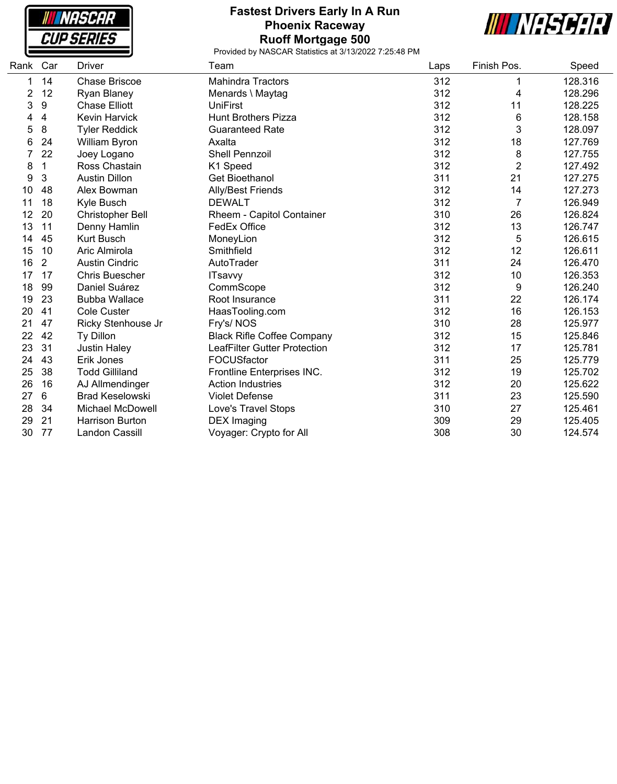**NASCAR CUP SERIES** 

#### **Fastest Drivers Early In A Run Phoenix Raceway Ruoff Mortgage 500**



| Rank | Car            | Driver                  | Team                                | Laps | Finish Pos.    | Speed   |
|------|----------------|-------------------------|-------------------------------------|------|----------------|---------|
| 1    | 14             | <b>Chase Briscoe</b>    | <b>Mahindra Tractors</b>            | 312  | 1              | 128.316 |
| 2    | 12             | <b>Ryan Blaney</b>      | Menards \ Maytag                    | 312  | 4              | 128.296 |
| 3    | 9              | <b>Chase Elliott</b>    | <b>UniFirst</b>                     | 312  | 11             | 128.225 |
| 4    | 4              | Kevin Harvick           | <b>Hunt Brothers Pizza</b>          | 312  | 6              | 128.158 |
| 5    | 8              | <b>Tyler Reddick</b>    | <b>Guaranteed Rate</b>              | 312  | 3              | 128.097 |
| 6    | 24             | William Byron           | Axalta                              | 312  | 18             | 127.769 |
|      | 22             | Joey Logano             | <b>Shell Pennzoil</b>               | 312  | 8              | 127.755 |
| 8    | 1              | Ross Chastain           | K1 Speed                            | 312  | $\overline{2}$ | 127.492 |
| 9    | 3              | <b>Austin Dillon</b>    | Get Bioethanol                      | 311  | 21             | 127.275 |
| 10   | 48             | Alex Bowman             | <b>Ally/Best Friends</b>            | 312  | 14             | 127.273 |
| 11   | 18             | Kyle Busch              | <b>DEWALT</b>                       | 312  | 7              | 126.949 |
| 12   | 20             | <b>Christopher Bell</b> | Rheem - Capitol Container           | 310  | 26             | 126.824 |
| 13   | 11             | Denny Hamlin            | FedEx Office                        | 312  | 13             | 126.747 |
| 14   | 45             | <b>Kurt Busch</b>       | MoneyLion                           | 312  | 5              | 126.615 |
| 15   | 10             | Aric Almirola           | Smithfield                          | 312  | 12             | 126.611 |
| 16   | $\overline{2}$ | <b>Austin Cindric</b>   | AutoTrader                          | 311  | 24             | 126.470 |
| 17   | 17             | <b>Chris Buescher</b>   | <b>ITsavvy</b>                      | 312  | 10             | 126.353 |
| 18   | 99             | Daniel Suárez           | CommScope                           | 312  | 9              | 126.240 |
| 19   | 23             | <b>Bubba Wallace</b>    | Root Insurance                      | 311  | 22             | 126.174 |
| 20   | 41             | <b>Cole Custer</b>      | HaasTooling.com                     | 312  | 16             | 126.153 |
| 21   | 47             | Ricky Stenhouse Jr      | Fry's/NOS                           | 310  | 28             | 125.977 |
| 22   | 42             | Ty Dillon               | <b>Black Rifle Coffee Company</b>   | 312  | 15             | 125.846 |
| 23   | 31             | <b>Justin Haley</b>     | <b>LeafFilter Gutter Protection</b> | 312  | 17             | 125.781 |
| 24   | 43             | Erik Jones              | FOCUSfactor                         | 311  | 25             | 125.779 |
| 25   | 38             | <b>Todd Gilliland</b>   | Frontline Enterprises INC.          | 312  | 19             | 125.702 |
| 26   | 16             | AJ Allmendinger         | <b>Action Industries</b>            | 312  | 20             | 125.622 |
| 27   | 6              | <b>Brad Keselowski</b>  | <b>Violet Defense</b>               | 311  | 23             | 125.590 |
| 28   | 34             | <b>Michael McDowell</b> | Love's Travel Stops                 | 310  | 27             | 125.461 |
| 29   | 21             | <b>Harrison Burton</b>  | <b>DEX</b> Imaging                  | 309  | 29             | 125.405 |
| 30   | 77             | Landon Cassill          | Voyager: Crypto for All             | 308  | 30             | 124.574 |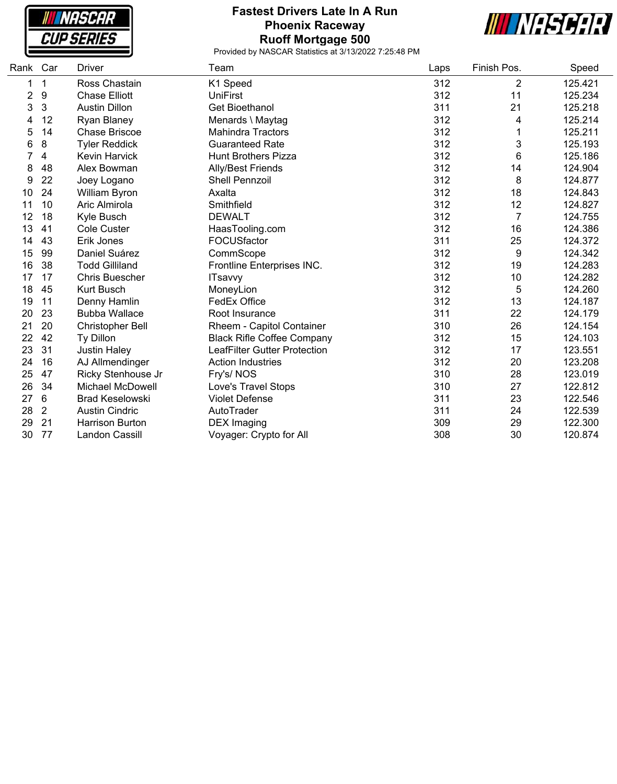

#### **Fastest Drivers Late In A Run Phoenix Raceway Ruoff Mortgage 500**



| Rank Car |                | Driver                  | Team                                | Laps | Finish Pos.    | Speed   |
|----------|----------------|-------------------------|-------------------------------------|------|----------------|---------|
| 1        | 1              | Ross Chastain           | K1 Speed                            | 312  | $\overline{2}$ | 125.421 |
| 2        | 9              | <b>Chase Elliott</b>    | <b>UniFirst</b>                     | 312  | 11             | 125.234 |
| 3        | 3              | <b>Austin Dillon</b>    | <b>Get Bioethanol</b>               | 311  | 21             | 125.218 |
| 4        | 12             | <b>Ryan Blaney</b>      | Menards \ Maytag                    | 312  | 4              | 125.214 |
| 5        | 14             | <b>Chase Briscoe</b>    | <b>Mahindra Tractors</b>            | 312  | 1              | 125.211 |
| 6        | 8              | <b>Tyler Reddick</b>    | <b>Guaranteed Rate</b>              | 312  | 3              | 125.193 |
|          | 4              | Kevin Harvick           | <b>Hunt Brothers Pizza</b>          | 312  | 6              | 125.186 |
| 8        | 48             | Alex Bowman             | <b>Ally/Best Friends</b>            | 312  | 14             | 124.904 |
| 9        | 22             | Joey Logano             | <b>Shell Pennzoil</b>               | 312  | 8              | 124.877 |
| 10       | 24             | William Byron           | Axalta                              | 312  | 18             | 124.843 |
| 11       | 10             | Aric Almirola           | Smithfield                          | 312  | 12             | 124.827 |
| 12       | 18             | Kyle Busch              | <b>DEWALT</b>                       | 312  | $\overline{7}$ | 124.755 |
| 13       | 41             | Cole Custer             | HaasTooling.com                     | 312  | 16             | 124.386 |
| 14       | 43             | Erik Jones              | FOCUSfactor                         | 311  | 25             | 124.372 |
| 15       | 99             | Daniel Suárez           | CommScope                           | 312  | 9              | 124.342 |
| 16       | 38             | <b>Todd Gilliland</b>   | Frontline Enterprises INC.          | 312  | 19             | 124.283 |
| 17       | 17             | <b>Chris Buescher</b>   | <b>ITsavvy</b>                      | 312  | 10             | 124.282 |
| 18       | 45             | <b>Kurt Busch</b>       | MoneyLion                           | 312  | 5              | 124.260 |
| 19       | 11             | Denny Hamlin            | FedEx Office                        | 312  | 13             | 124.187 |
| 20       | 23             | <b>Bubba Wallace</b>    | Root Insurance                      | 311  | 22             | 124.179 |
| 21       | 20             | <b>Christopher Bell</b> | Rheem - Capitol Container           | 310  | 26             | 124.154 |
| 22       | 42             | Ty Dillon               | <b>Black Rifle Coffee Company</b>   | 312  | 15             | 124.103 |
| 23       | 31             | <b>Justin Haley</b>     | <b>LeafFilter Gutter Protection</b> | 312  | 17             | 123.551 |
| 24       | 16             | AJ Allmendinger         | <b>Action Industries</b>            | 312  | 20             | 123.208 |
| 25       | 47             | Ricky Stenhouse Jr      | Fry's/NOS                           | 310  | 28             | 123.019 |
| 26       | 34             | <b>Michael McDowell</b> | Love's Travel Stops                 | 310  | 27             | 122.812 |
| 27       | 6              | <b>Brad Keselowski</b>  | <b>Violet Defense</b>               | 311  | 23             | 122.546 |
| 28       | $\overline{2}$ | <b>Austin Cindric</b>   | AutoTrader                          | 311  | 24             | 122.539 |
| 29       | 21             | <b>Harrison Burton</b>  | <b>DEX</b> Imaging                  | 309  | 29             | 122.300 |
| 30       | 77             | <b>Landon Cassill</b>   | Voyager: Crypto for All             | 308  | 30             | 120.874 |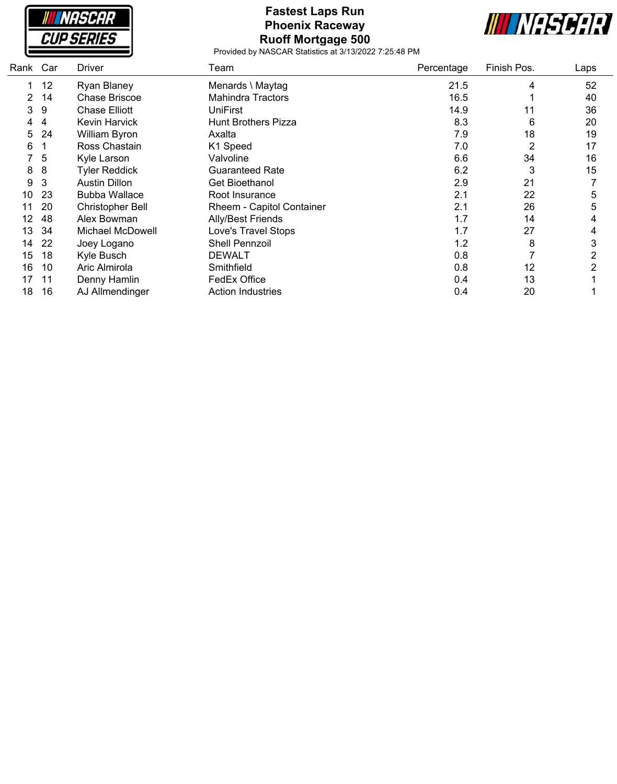

#### **Fastest Laps Run Phoenix Raceway Ruoff Mortgage 500**



| Rank | Car | Driver                  | Team                       | Percentage | Finish Pos. | Laps |
|------|-----|-------------------------|----------------------------|------------|-------------|------|
|      | 12  | Ryan Blaney             | Menards \ Maytag           | 21.5       | 4           | 52   |
|      | 14  | Chase Briscoe           | <b>Mahindra Tractors</b>   | 16.5       |             | 40   |
| 3    | 9   | <b>Chase Elliott</b>    | UniFirst                   | 14.9       | 11          | 36   |
| 4    | 4   | Kevin Harvick           | <b>Hunt Brothers Pizza</b> | 8.3        | 6           | 20   |
| 5    | 24  | William Byron           | Axalta                     | 7.9        | 18          | 19   |
| 6    |     | Ross Chastain           | K1 Speed                   | 7.0        | 2           | 17   |
|      | 5   | Kyle Larson             | Valvoline                  | 6.6        | 34          | 16   |
| 8    | 8   | <b>Tyler Reddick</b>    | <b>Guaranteed Rate</b>     | 6.2        | 3           | 15   |
| 9    | 3   | <b>Austin Dillon</b>    | <b>Get Bioethanol</b>      | 2.9        | 21          |      |
| 10   | 23  | <b>Bubba Wallace</b>    | Root Insurance             | 2.1        | 22          | 5    |
| 11   | 20  | <b>Christopher Bell</b> | Rheem - Capitol Container  | 2.1        | 26          | 5    |
| 12   | 48  | Alex Bowman             | Ally/Best Friends          | 1.7        | 14          | 4    |
| 13   | 34  | Michael McDowell        | Love's Travel Stops        | 1.7        | 27          | 4    |
| 14   | 22  | Joey Logano             | <b>Shell Pennzoil</b>      | 1.2        | 8           | 3    |
| 15   | 18  | Kyle Busch              | DEWALT                     | 0.8        |             | 2    |
| 16   | 10  | Aric Almirola           | Smithfield                 | 0.8        | 12          | 2    |
| 17   | 11  | Denny Hamlin            | FedEx Office               | 0.4        | 13          |      |
| 18   | 16  | AJ Allmendinger         | <b>Action Industries</b>   | 0.4        | 20          |      |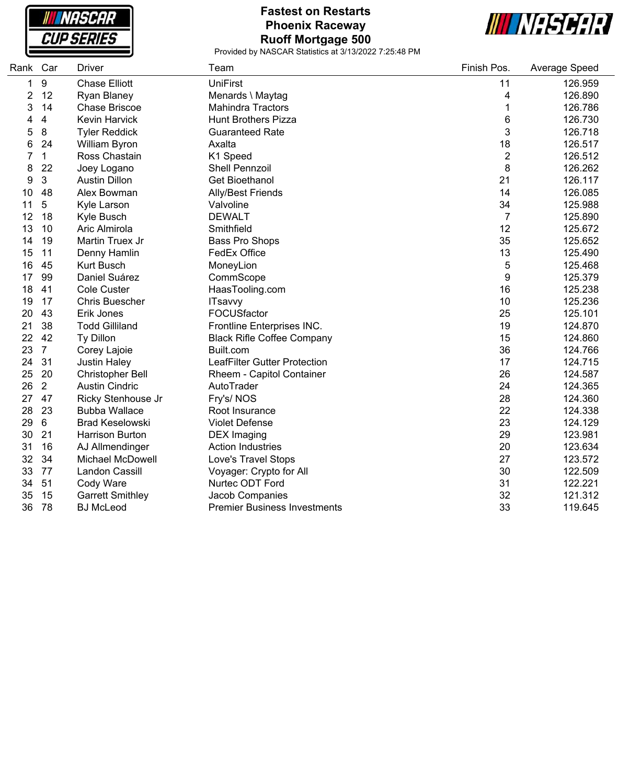

# **Fastest on Restarts Phoenix Raceway Ruoff Mortgage 500**



| Rank Car |                         | <b>Driver</b>           | Team                                | Finish Pos.    | Average Speed |
|----------|-------------------------|-------------------------|-------------------------------------|----------------|---------------|
| 1        | 9                       | <b>Chase Elliott</b>    | <b>UniFirst</b>                     | 11             | 126.959       |
| 2        | 12                      | Ryan Blaney             | Menards \ Maytag                    | 4              | 126.890       |
| 3        | 14                      | <b>Chase Briscoe</b>    | <b>Mahindra Tractors</b>            | 1              | 126.786       |
| 4        | $\overline{\mathbf{4}}$ | <b>Kevin Harvick</b>    | <b>Hunt Brothers Pizza</b>          | 6              | 126.730       |
| 5        | 8                       | <b>Tyler Reddick</b>    | <b>Guaranteed Rate</b>              | 3              | 126.718       |
| 6        | 24                      | William Byron           | Axalta                              | 18             | 126.517       |
| 7        | $\mathbf{1}$            | Ross Chastain           | K1 Speed                            | $\overline{2}$ | 126.512       |
| 8        | 22                      | Joey Logano             | <b>Shell Pennzoil</b>               | 8              | 126.262       |
| 9        | $\mathbf{3}$            | <b>Austin Dillon</b>    | <b>Get Bioethanol</b>               | 21             | 126.117       |
| 10       | 48                      | Alex Bowman             | <b>Ally/Best Friends</b>            | 14             | 126.085       |
| 11       | 5                       | Kyle Larson             | Valvoline                           | 34             | 125.988       |
| 12       | 18                      | Kyle Busch              | <b>DEWALT</b>                       | $\overline{7}$ | 125.890       |
| 13       | 10                      | Aric Almirola           | Smithfield                          | 12             | 125.672       |
| 14       | 19                      | Martin Truex Jr         | <b>Bass Pro Shops</b>               | 35             | 125.652       |
| 15       | 11                      | Denny Hamlin            | FedEx Office                        | 13             | 125.490       |
| 16       | 45                      | <b>Kurt Busch</b>       | MoneyLion                           | 5              | 125.468       |
| 17       | 99                      | Daniel Suárez           | CommScope                           | 9              | 125.379       |
| 18       | 41                      | Cole Custer             | HaasTooling.com                     | 16             | 125.238       |
| 19       | 17                      | <b>Chris Buescher</b>   | <b>ITsavvy</b>                      | 10             | 125.236       |
| 20       | 43                      | Erik Jones              | FOCUSfactor                         | 25             | 125.101       |
| 21       | 38                      | <b>Todd Gilliland</b>   | Frontline Enterprises INC.          | 19             | 124.870       |
| 22       | 42                      | Ty Dillon               | <b>Black Rifle Coffee Company</b>   | 15             | 124.860       |
| 23       | $\overline{7}$          | Corey Lajoie            | Built.com                           | 36             | 124.766       |
| 24       | 31                      | <b>Justin Haley</b>     | LeafFilter Gutter Protection        | 17             | 124.715       |
| 25       | 20                      | <b>Christopher Bell</b> | Rheem - Capitol Container           | 26             | 124.587       |
| 26       | $\overline{2}$          | <b>Austin Cindric</b>   | AutoTrader                          | 24             | 124.365       |
| 27       | 47                      | Ricky Stenhouse Jr      | Fry's/NOS                           | 28             | 124.360       |
| 28       | 23                      | <b>Bubba Wallace</b>    | Root Insurance                      | 22             | 124.338       |
| 29       | 6                       | <b>Brad Keselowski</b>  | <b>Violet Defense</b>               | 23             | 124.129       |
| 30       | 21                      | <b>Harrison Burton</b>  | <b>DEX</b> Imaging                  | 29             | 123.981       |
| 31       | 16                      | AJ Allmendinger         | <b>Action Industries</b>            | 20             | 123.634       |
| 32       | 34                      | <b>Michael McDowell</b> | Love's Travel Stops                 | 27             | 123.572       |
| 33       | 77                      | <b>Landon Cassill</b>   | Voyager: Crypto for All             | 30             | 122.509       |
| 34       | 51                      | Cody Ware               | Nurtec ODT Ford                     | 31             | 122.221       |
| 35       | 15                      | <b>Garrett Smithley</b> | Jacob Companies                     | 32             | 121.312       |
| 36       | 78                      | <b>BJ</b> McLeod        | <b>Premier Business Investments</b> | 33             | 119.645       |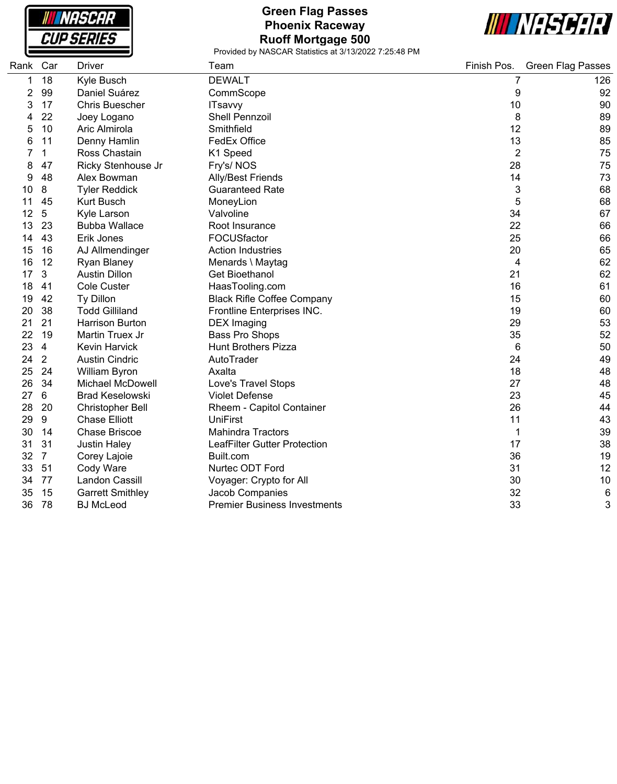

# **Green Flag Passes Phoenix Raceway Ruoff Mortgage 500**



| Rank | Car            | <b>Driver</b>           | Team                                | Finish Pos.    | <b>Green Flag Passes</b> |
|------|----------------|-------------------------|-------------------------------------|----------------|--------------------------|
| 1    | 18             | Kyle Busch              | <b>DEWALT</b>                       | 7              | 126                      |
| 2    | 99             | Daniel Suárez           | CommScope                           | 9              | 92                       |
| 3    | 17             | <b>Chris Buescher</b>   | <b>ITsavvy</b>                      | 10             | 90                       |
|      | 22             | Joey Logano             | Shell Pennzoil                      | 8              | 89                       |
| 5    | 10             | Aric Almirola           | Smithfield                          | 12             | 89                       |
| 6    | 11             | Denny Hamlin            | FedEx Office                        | 13             | 85                       |
|      | 1              | Ross Chastain           | K1 Speed                            | $\overline{2}$ | 75                       |
| 8    | 47             | Ricky Stenhouse Jr      | Fry's/NOS                           | 28             | 75                       |
| 9    | 48             | Alex Bowman             | Ally/Best Friends                   | 14             | 73                       |
| 10   | 8              | <b>Tyler Reddick</b>    | <b>Guaranteed Rate</b>              | 3              | 68                       |
| 11   | 45             | <b>Kurt Busch</b>       | MoneyLion                           | 5              | 68                       |
| 12   | 5              | Kyle Larson             | Valvoline                           | 34             | 67                       |
| 13   | 23             | <b>Bubba Wallace</b>    | Root Insurance                      | 22             | 66                       |
| 14   | 43             | Erik Jones              | FOCUSfactor                         | 25             | 66                       |
| 15   | 16             | AJ Allmendinger         | <b>Action Industries</b>            | 20             | 65                       |
| 16   | 12             | Ryan Blaney             | Menards \ Maytag                    | 4              | 62                       |
| 17   | 3              | <b>Austin Dillon</b>    | <b>Get Bioethanol</b>               | 21             | 62                       |
| 18   | 41             | Cole Custer             | HaasTooling.com                     | 16             | 61                       |
| 19   | 42             | Ty Dillon               | <b>Black Rifle Coffee Company</b>   | 15             | 60                       |
| 20   | 38             | <b>Todd Gilliland</b>   | Frontline Enterprises INC.          | 19             | 60                       |
| 21   | 21             | <b>Harrison Burton</b>  | <b>DEX</b> Imaging                  | 29             | 53                       |
| 22   | 19             | Martin Truex Jr         | Bass Pro Shops                      | 35             | 52                       |
| 23   | $\overline{4}$ | <b>Kevin Harvick</b>    | <b>Hunt Brothers Pizza</b>          | 6              | 50                       |
| 24   | $\overline{2}$ | <b>Austin Cindric</b>   | AutoTrader                          | 24             | 49                       |
| 25   | 24             | <b>William Byron</b>    | Axalta                              | 18             | 48                       |
| 26   | 34             | <b>Michael McDowell</b> | Love's Travel Stops                 | 27             | 48                       |
| 27   | 6              | <b>Brad Keselowski</b>  | <b>Violet Defense</b>               | 23             | 45                       |
| 28   | 20             | Christopher Bell        | Rheem - Capitol Container           | 26             | 44                       |
| 29   | 9              | <b>Chase Elliott</b>    | <b>UniFirst</b>                     | 11             | 43                       |
| 30   | 14             | <b>Chase Briscoe</b>    | <b>Mahindra Tractors</b>            | 1              | 39                       |
| 31   | 31             | <b>Justin Haley</b>     | LeafFilter Gutter Protection        | 17             | 38                       |
| 32   | $\overline{7}$ | Corey Lajoie            | Built.com                           | 36             | 19                       |
| 33   | 51             | Cody Ware               | Nurtec ODT Ford                     | 31             | 12                       |
| 34   | 77             | Landon Cassill          | Voyager: Crypto for All             | 30             | 10                       |
| 35   | 15             | <b>Garrett Smithley</b> | Jacob Companies                     | 32             | 6                        |
| 36   | 78             | <b>BJ</b> McLeod        | <b>Premier Business Investments</b> | 33             | 3                        |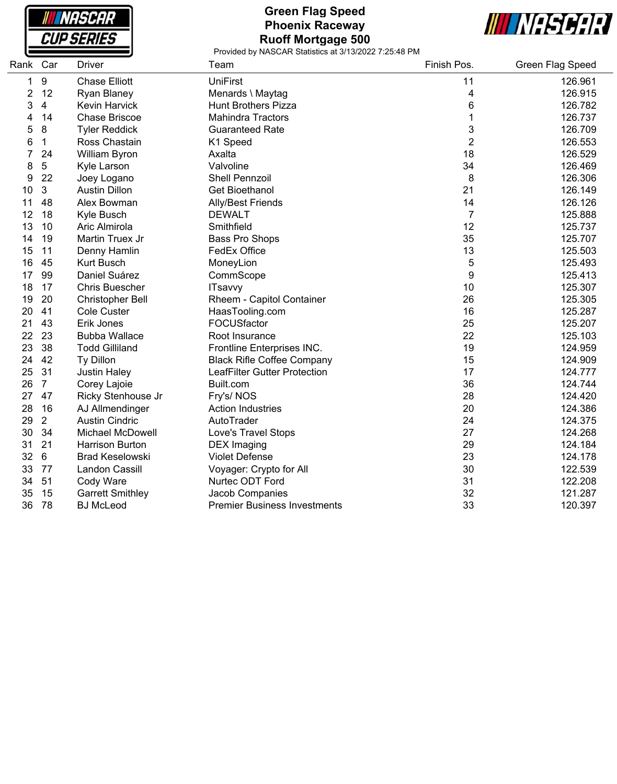

# **Green Flag Speed Phoenix Raceway Ruoff Mortgage 500**



| Rank Car |                         | <b>Driver</b>           | Team                                | Finish Pos.    | Green Flag Speed |
|----------|-------------------------|-------------------------|-------------------------------------|----------------|------------------|
| 1        | $\boldsymbol{9}$        | <b>Chase Elliott</b>    | <b>UniFirst</b>                     | 11             | 126.961          |
| 2        | 12                      | Ryan Blaney             | Menards \ Maytag                    | 4              | 126.915          |
| 3        | $\overline{\mathbf{4}}$ | Kevin Harvick           | <b>Hunt Brothers Pizza</b>          | 6              | 126.782          |
| 4        | 14                      | <b>Chase Briscoe</b>    | <b>Mahindra Tractors</b>            | 1              | 126.737          |
| 5        | 8                       | <b>Tyler Reddick</b>    | <b>Guaranteed Rate</b>              | 3              | 126.709          |
| 6        | 1                       | Ross Chastain           | K1 Speed                            | $\overline{2}$ | 126.553          |
| 7        | 24                      | William Byron           | Axalta                              | 18             | 126.529          |
| 8        | 5                       | Kyle Larson             | Valvoline                           | 34             | 126.469          |
| 9        | 22                      | Joey Logano             | Shell Pennzoil                      | 8              | 126.306          |
| 10       | 3                       | <b>Austin Dillon</b>    | <b>Get Bioethanol</b>               | 21             | 126.149          |
| 11       | 48                      | Alex Bowman             | <b>Ally/Best Friends</b>            | 14             | 126.126          |
| 12       | 18                      | Kyle Busch              | <b>DEWALT</b>                       | $\overline{7}$ | 125.888          |
| 13       | 10                      | Aric Almirola           | Smithfield                          | 12             | 125.737          |
| 14       | 19                      | Martin Truex Jr         | Bass Pro Shops                      | 35             | 125.707          |
| 15       | 11                      | Denny Hamlin            | <b>FedEx Office</b>                 | 13             | 125.503          |
| 16       | 45                      | <b>Kurt Busch</b>       | MoneyLion                           | 5              | 125.493          |
| 17       | 99                      | Daniel Suárez           | CommScope                           | 9              | 125.413          |
| 18       | 17                      | <b>Chris Buescher</b>   | <b>ITsavvy</b>                      | 10             | 125.307          |
| 19       | 20                      | <b>Christopher Bell</b> | Rheem - Capitol Container           | 26             | 125.305          |
| 20       | 41                      | Cole Custer             | HaasTooling.com                     | 16             | 125.287          |
| 21       | 43                      | Erik Jones              | FOCUSfactor                         | 25             | 125.207          |
| 22       | 23                      | <b>Bubba Wallace</b>    | Root Insurance                      | 22             | 125.103          |
| 23       | 38                      | <b>Todd Gilliland</b>   | Frontline Enterprises INC.          | 19             | 124.959          |
| 24       | 42                      | Ty Dillon               | <b>Black Rifle Coffee Company</b>   | 15             | 124.909          |
| 25       | 31                      | <b>Justin Haley</b>     | <b>LeafFilter Gutter Protection</b> | 17             | 124.777          |
| 26       | $\overline{7}$          | Corey Lajoie            | Built.com                           | 36             | 124.744          |
| 27       | 47                      | Ricky Stenhouse Jr      | Fry's/NOS                           | 28             | 124.420          |
| 28       | 16                      | AJ Allmendinger         | <b>Action Industries</b>            | 20             | 124.386          |
| 29       | $\overline{2}$          | <b>Austin Cindric</b>   | AutoTrader                          | 24             | 124.375          |
| 30       | 34                      | <b>Michael McDowell</b> | Love's Travel Stops                 | 27             | 124.268          |
| 31       | 21                      | <b>Harrison Burton</b>  | <b>DEX</b> Imaging                  | 29             | 124.184          |
| 32       | 6                       | <b>Brad Keselowski</b>  | <b>Violet Defense</b>               | 23             | 124.178          |
| 33       | 77                      | Landon Cassill          | Voyager: Crypto for All             | 30             | 122.539          |
| 34       | 51                      | Cody Ware               | Nurtec ODT Ford                     | 31             | 122.208          |
| 35       | 15                      | <b>Garrett Smithley</b> | Jacob Companies                     | 32             | 121.287          |
| 36       | 78                      | <b>BJ</b> McLeod        | <b>Premier Business Investments</b> | 33             | 120.397          |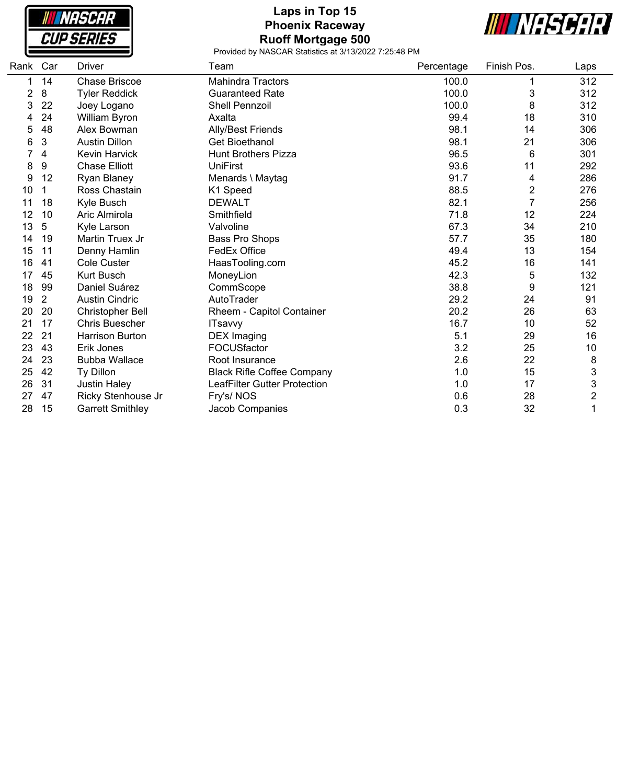| NASCAR            |  |
|-------------------|--|
| <i>CUP SERIES</i> |  |

ſ

# **Laps in Top 15 Phoenix Raceway Ruoff Mortgage 500**



| Rank Car |                | <b>Driver</b>           | Team                              | Percentage | Finish Pos.    | Laps                      |
|----------|----------------|-------------------------|-----------------------------------|------------|----------------|---------------------------|
|          | 14             | <b>Chase Briscoe</b>    | <b>Mahindra Tractors</b>          | 100.0      |                | 312                       |
| 2        | 8              | <b>Tyler Reddick</b>    | <b>Guaranteed Rate</b>            | 100.0      | 3              | 312                       |
| 3        | 22             | Joey Logano             | <b>Shell Pennzoil</b>             | 100.0      | 8              | 312                       |
| 4        | 24             | William Byron           | Axalta                            | 99.4       | 18             | 310                       |
| 5        | 48             | Alex Bowman             | Ally/Best Friends                 | 98.1       | 14             | 306                       |
| 6        | 3              | <b>Austin Dillon</b>    | <b>Get Bioethanol</b>             | 98.1       | 21             | 306                       |
|          | 4              | <b>Kevin Harvick</b>    | <b>Hunt Brothers Pizza</b>        | 96.5       | 6              | 301                       |
| 8        | 9              | <b>Chase Elliott</b>    | <b>UniFirst</b>                   | 93.6       | 11             | 292                       |
| 9        | 12             | Ryan Blaney             | Menards \ Maytag                  | 91.7       | 4              | 286                       |
| 10       | 1              | Ross Chastain           | K1 Speed                          | 88.5       | $\overline{c}$ | 276                       |
| 11       | 18             | Kyle Busch              | <b>DEWALT</b>                     | 82.1       | $\overline{7}$ | 256                       |
| 12       | 10             | Aric Almirola           | Smithfield                        | 71.8       | 12             | 224                       |
| 13       | 5              | Kyle Larson             | Valvoline                         | 67.3       | 34             | 210                       |
| 14       | 19             | Martin Truex Jr         | Bass Pro Shops                    | 57.7       | 35             | 180                       |
| 15       | 11             | Denny Hamlin            | <b>FedEx Office</b>               | 49.4       | 13             | 154                       |
| 16       | 41             | <b>Cole Custer</b>      | HaasTooling.com                   | 45.2       | 16             | 141                       |
| 17       | 45             | <b>Kurt Busch</b>       | MoneyLion                         | 42.3       | 5              | 132                       |
| 18       | 99             | Daniel Suárez           | CommScope                         | 38.8       | 9              | 121                       |
| 19       | $\overline{2}$ | <b>Austin Cindric</b>   | AutoTrader                        | 29.2       | 24             | 91                        |
| 20       | 20             | <b>Christopher Bell</b> | Rheem - Capitol Container         | 20.2       | 26             | 63                        |
| 21       | 17             | <b>Chris Buescher</b>   | <b>ITsavvy</b>                    | 16.7       | 10             | 52                        |
| 22       | 21             | <b>Harrison Burton</b>  | <b>DEX Imaging</b>                | 5.1        | 29             | 16                        |
| 23       | 43             | Erik Jones              | FOCUSfactor                       | 3.2        | 25             | 10                        |
| 24       | 23             | <b>Bubba Wallace</b>    | Root Insurance                    | 2.6        | 22             | 8                         |
| 25       | 42             | Ty Dillon               | <b>Black Rifle Coffee Company</b> | 1.0        | 15             | $\ensuremath{\mathsf{3}}$ |
| 26       | 31             | <b>Justin Haley</b>     | LeafFilter Gutter Protection      | 1.0        | 17             | 3                         |
| 27       | 47             | Ricky Stenhouse Jr      | Fry's/NOS                         | 0.6        | 28             | $\overline{c}$            |
| 28       | 15             | <b>Garrett Smithley</b> | Jacob Companies                   | 0.3        | 32             | 1                         |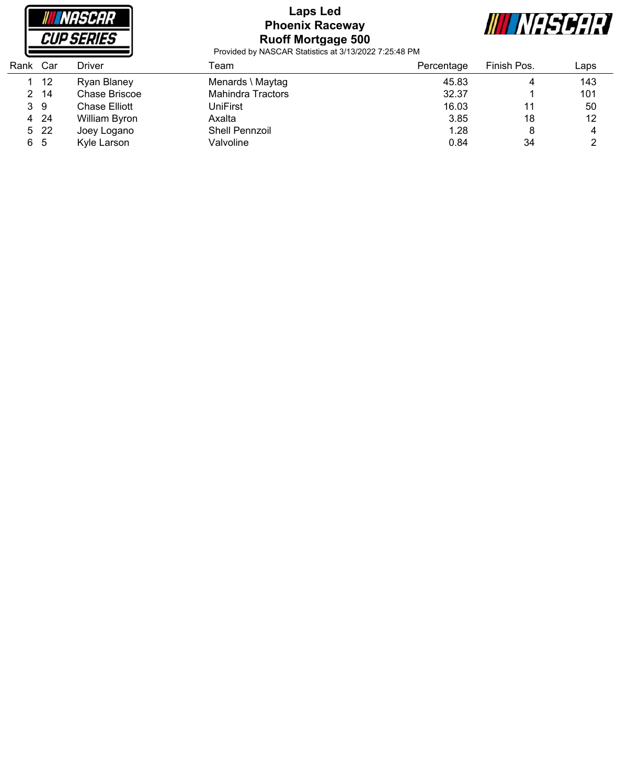

# **Laps Led Phoenix Raceway Ruoff Mortgage 500**



| Rank | Car  | Driver        | Геаm                  | Percentage | Finish Pos. | Laps |
|------|------|---------------|-----------------------|------------|-------------|------|
|      | 12   | Ryan Blaney   | Menards \ Maytag      | 45.83      | 4           | 143  |
| 2    | -14  | Chase Briscoe | Mahindra Tractors     | 32.37      |             | 101  |
|      | 39   | Chase Elliott | UniFirst              | 16.03      | 11          | 50   |
| 4    | -24  | William Byron | Axalta                | 3.85       | 18          | 12   |
|      | 5 22 | Joey Logano   | <b>Shell Pennzoil</b> | 1.28       | 8           | 4    |
| 6 5  |      | Kyle Larson   | Valvoline             | 0.84       | 34          |      |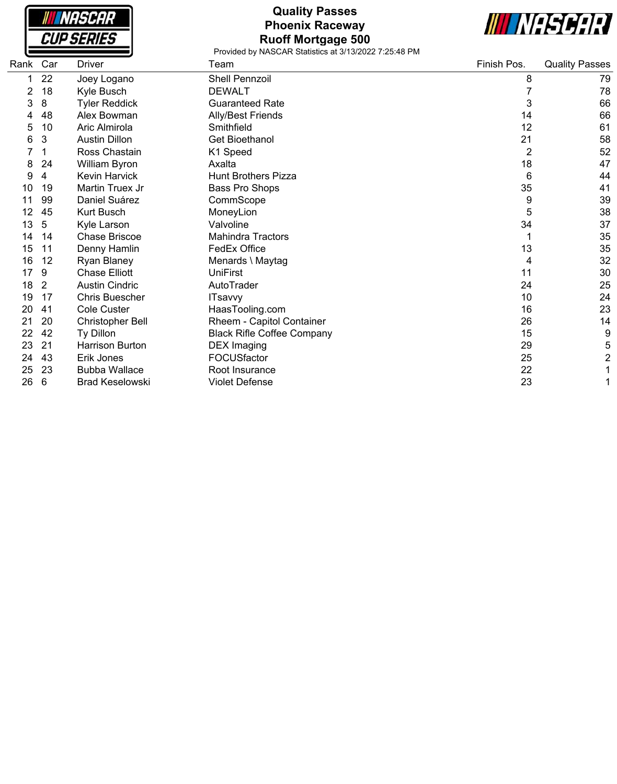| <i><b>INASCAR</b></i> |
|-----------------------|
| <i>CUP SERIES</i>     |

### **Quality Passes Phoenix Raceway Ruoff Mortgage 500**



| Rank | Car | <b>Driver</b>           | Team                              | Finish Pos. | <b>Quality Passes</b> |
|------|-----|-------------------------|-----------------------------------|-------------|-----------------------|
|      | 22  | Joey Logano             | <b>Shell Pennzoil</b>             | 8           | 79                    |
|      | 18  | Kyle Busch              | <b>DEWALT</b>                     |             | 78                    |
| 3    | 8   | <b>Tyler Reddick</b>    | <b>Guaranteed Rate</b>            | 3           | 66                    |
|      | 48  | Alex Bowman             | <b>Ally/Best Friends</b>          | 14          | 66                    |
| 5    | 10  | Aric Almirola           | Smithfield                        | 12          | 61                    |
| 6    | 3   | <b>Austin Dillon</b>    | <b>Get Bioethanol</b>             | 21          | 58                    |
|      |     | Ross Chastain           | K1 Speed                          | 2           | 52                    |
| 8    | 24  | William Byron           | Axalta                            | 18          | 47                    |
| 9    | 4   | <b>Kevin Harvick</b>    | <b>Hunt Brothers Pizza</b>        | 6           | 44                    |
| 10   | 19  | Martin Truex Jr         | Bass Pro Shops                    | 35          | 41                    |
| 11   | 99  | Daniel Suárez           | CommScope                         | 9           | 39                    |
| 12   | 45  | <b>Kurt Busch</b>       | MoneyLion                         | 5           | 38                    |
| 13   | 5   | Kyle Larson             | Valvoline                         | 34          | 37                    |
| 14   | 14  | <b>Chase Briscoe</b>    | <b>Mahindra Tractors</b>          |             | 35                    |
| 15   | 11  | Denny Hamlin            | FedEx Office                      | 13          | 35                    |
| 16   | 12  | Ryan Blaney             | Menards \ Maytag                  | 4           | 32                    |
| 17   | 9   | <b>Chase Elliott</b>    | <b>UniFirst</b>                   | 11          | 30                    |
| 18   | 2   | <b>Austin Cindric</b>   | AutoTrader                        | 24          | 25                    |
| 19   | 17  | <b>Chris Buescher</b>   | <b>ITsavvy</b>                    | 10          | 24                    |
| 20   | 41  | <b>Cole Custer</b>      | HaasTooling.com                   | 16          | 23                    |
| 21   | 20  | <b>Christopher Bell</b> | Rheem - Capitol Container         | 26          | 14                    |
| 22   | 42  | Ty Dillon               | <b>Black Rifle Coffee Company</b> | 15          | 9                     |
| 23   | 21  | <b>Harrison Burton</b>  | <b>DEX Imaging</b>                | 29          | 5                     |
| 24   | 43  | Erik Jones              | FOCUSfactor                       | 25          | 2                     |
| 25   | 23  | <b>Bubba Wallace</b>    | Root Insurance                    | 22          |                       |
| 26   | 6   | <b>Brad Keselowski</b>  | <b>Violet Defense</b>             | 23          |                       |